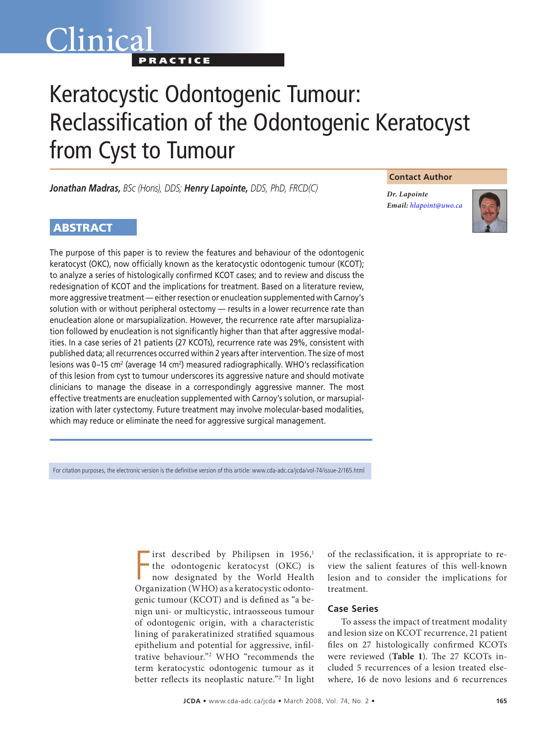## Clinica<sup>®</sup> **PRACTICE**

# Keratocystic Odontogenic Tumour: Reclassification of the Odontogenic Keratocyst from Cyst to Tumour

*Jonathan Madras, BSc (Hons), DDS; Henry Lapointe, DDS, PhD, FRCD(C)*

## **ABSTRACT**

The purpose of this paper is to review the features and behaviour of the odontogenic keratocyst (OKC), now officially known as the keratocystic odontogenic tumour (KCOT); to analyze a series of histologically confirmed KCOT cases; and to review and discuss the redesignation of KCOT and the implications for treatment. Based on a literature review, more aggressive treatment — either resection or enucleation supplemented with Carnoy's solution with or without peripheral ostectomy — results in a lower recurrence rate than enucleation alone or marsupialization. However, the recurrence rate after marsupialization followed by enucleation is not significantly higher than that after aggressive modalities. In a case series of 21 patients (27 KCOTs), recurrence rate was 29%, consistent with published data; all recurrences occurred within 2 years after intervention. The size of most lesions was 0–15 cm<sup>2</sup> (average 14 cm<sup>2</sup>) measured radiographically. WHO's reclassification of this lesion from cyst to tumour underscores its aggressive nature and should motivate clinicians to manage the disease in a correspondingly aggressive manner. The most effective treatments are enucleation supplemented with Carnoy's solution, or marsupialization with later cystectomy. Future treatment may involve molecular-based modalities, which may reduce or eliminate the need for aggressive surgical management.

For citation purposes, the electronic version is the definitive version of this article: www.cda-adc.ca/jcda/vol-74/issue-2/165.html

First described by Philipsen in 1956,<sup>1</sup><br>the odontogenic keratocyst (OKC) is<br>now designated by the World Health<br>Organization (WHO) as a keratocystic odontoirst described by Philipsen in 1956,<sup>1</sup> the odontogenic keratocyst (OKC) is now designated by the World Health genic tumour (KCOT) and is defined as "a benign uni- or multicystic, intraosseous tumour of odontogenic origin, with a characteristic lining of parakeratinized stratified squamous epithelium and potential for aggressive, infiltrative behaviour."2 WHO "recommends the term keratocystic odontogenic tumour as it better reflects its neoplastic nature."2 In light

of the reclassification, it is appropriate to review the salient features of this well-known lesion and to consider the implications for treatment.

#### **Case Series**

To assess the impact of treatment modality and lesion size on KCOT recurrence, 21 patient files on 27 histologically confirmed KCOTs were reviewed (**Table 1**). The 27 KCOTs included 5 recurrences of a lesion treated elsewhere, 16 de novo lesions and 6 recurrences

#### **Contact Author**

*Dr. Lapointe Email: [hlapoint@uwo.ca](mailto:hlapoint@uwo.ca)*

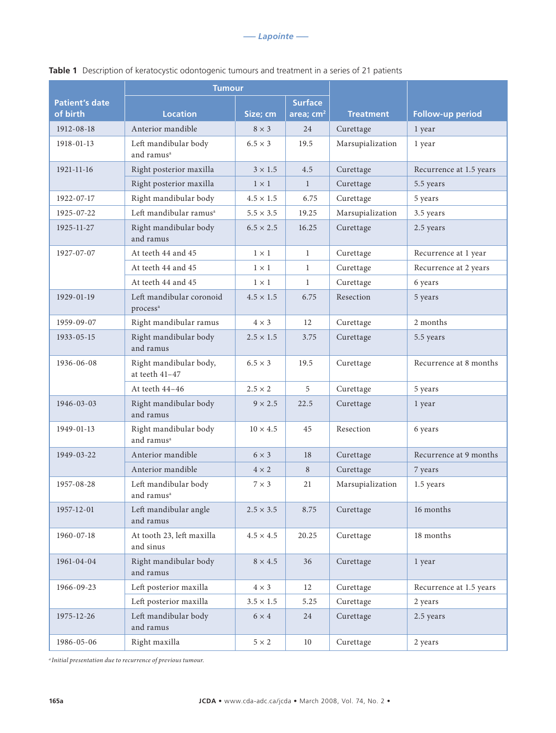|                       | <b>Tumour</b>                                    |                  |                |                  |                         |
|-----------------------|--------------------------------------------------|------------------|----------------|------------------|-------------------------|
| <b>Patient's date</b> |                                                  |                  | <b>Surface</b> |                  |                         |
| of birth              | <b>Location</b>                                  | Size; cm         | area; $cm2$    | <b>Treatment</b> | Follow-up period        |
| 1912-08-18            | Anterior mandible                                | $8 \times 3$     | 24             | Curettage        | 1 year                  |
| 1918-01-13            | Left mandibular body<br>and ramus <sup>a</sup>   | $6.5 \times 3$   | 19.5           | Marsupialization | 1 year                  |
| 1921-11-16            | Right posterior maxilla                          | $3 \times 1.5$   | 4.5            | Curettage        | Recurrence at 1.5 years |
|                       | Right posterior maxilla                          | $1 \times 1$     | $\mathbf{1}$   | Curettage        | 5.5 years               |
| 1922-07-17            | Right mandibular body                            | $4.5 \times 1.5$ | 6.75           | Curettage        | 5 years                 |
| 1925-07-22            | Left mandibular ramus <sup>a</sup>               | $5.5 \times 3.5$ | 19.25          | Marsupialization | 3.5 years               |
| 1925-11-27            | Right mandibular body<br>and ramus               | $6.5 \times 2.5$ | 16.25          | Curettage        | 2.5 years               |
| 1927-07-07            | At teeth 44 and 45                               | $1 \times 1$     | $\mathbf{1}$   | Curettage        | Recurrence at 1 year    |
|                       | At teeth 44 and 45                               | $1 \times 1$     | $\mathbf{1}$   | Curettage        | Recurrence at 2 years   |
|                       | At teeth 44 and 45                               | $1 \times 1$     | $\mathbf{1}$   | Curettage        | 6 years                 |
| 1929-01-19            | Left mandibular coronoid<br>process <sup>a</sup> | $4.5 \times 1.5$ | 6.75           | Resection        | 5 years                 |
| 1959-09-07            | Right mandibular ramus                           | $4 \times 3$     | 12             | Curettage        | 2 months                |
| 1933-05-15            | Right mandibular body<br>and ramus               | $2.5 \times 1.5$ | 3.75           | Curettage        | 5.5 years               |
| 1936-06-08            | Right mandibular body,<br>at teeth 41-47         | $6.5 \times 3$   | 19.5           | Curettage        | Recurrence at 8 months  |
|                       | At teeth 44-46                                   | $2.5 \times 2$   | 5              | Curettage        | 5 years                 |
| 1946-03-03            | Right mandibular body<br>and ramus               | $9 \times 2.5$   | 22.5           | Curettage        | 1 year                  |
| 1949-01-13            | Right mandibular body<br>and ramus <sup>a</sup>  | $10 \times 4.5$  | 45             | Resection        | 6 years                 |
| 1949-03-22            | Anterior mandible                                | $6 \times 3$     | 18             | Curettage        | Recurrence at 9 months  |
|                       | Anterior mandible                                | $4 \times 2$     | 8              | Curettage        | 7 years                 |
| 1957-08-28            | Left mandibular body<br>and ramus <sup>a</sup>   | $7 \times 3$     | 21             | Marsupialization | 1.5 years               |
| 1957-12-01            | Left mandibular angle<br>and ramus               | $2.5 \times 3.5$ | 8.75           | Curettage        | 16 months               |
| 1960-07-18            | At tooth 23, left maxilla<br>and sinus           | $4.5\times4.5$   | 20.25          | Curettage        | 18 months               |
| 1961-04-04            | Right mandibular body<br>and ramus               | $8 \times 4.5$   | 36             | Curettage        | 1 year                  |
| 1966-09-23            | Left posterior maxilla                           | $4 \times 3$     | 12             | Curettage        | Recurrence at 1.5 years |
|                       | Left posterior maxilla                           | $3.5 \times 1.5$ | 5.25           | Curettage        | 2 years                 |
| 1975-12-26            | Left mandibular body<br>and ramus                | $6 \times 4$     | 24             | Curettage        | 2.5 years               |
| 1986-05-06            | Right maxilla                                    | $5 \times 2$     | 10             | Curettage        | 2 years                 |

### **Table 1** Description of keratocystic odontogenic tumours and treatment in a series of 21 patients

*a Initial presentation due to recurrence of previous tumour.*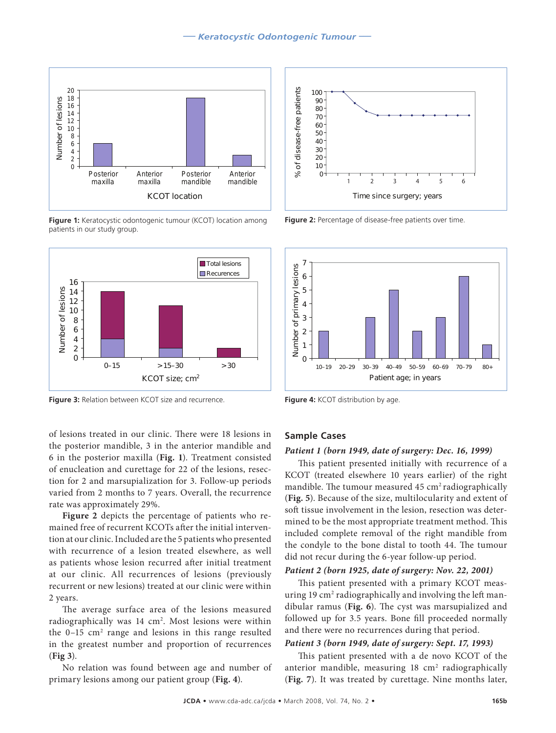

**Figure 1:** Keratocystic odontogenic tumour (KCOT) location among patients in our study group.



**Figure 3:** Relation between KCOT size and recurrence. **Figure 4:** KCOT distribution by age.

of lesions treated in our clinic. There were 18 lesions in the posterior mandible, 3 in the anterior mandible and 6 in the posterior maxilla (**Fig. 1**). Treatment consisted of enucleation and curettage for 22 of the lesions, resection for 2 and marsupialization for 3. Follow-up periods varied from 2 months to 7 years. Overall, the recurrence rate was approximately 29%.

**Figure 2** depicts the percentage of patients who remained free of recurrent KCOTs after the initial intervention at our clinic. Included are the 5 patients who presented with recurrence of a lesion treated elsewhere, as well as patients whose lesion recurred after initial treatment at our clinic. All recurrences of lesions (previously recurrent or new lesions) treated at our clinic were within 2 years.

The average surface area of the lesions measured radiographically was 14 cm<sup>2</sup>. Most lesions were within the 0-15 cm<sup>2</sup> range and lesions in this range resulted in the greatest number and proportion of recurrences (**Fig 3**).

No relation was found between age and number of primary lesions among our patient group (**Fig. 4**).



**Figure 2:** Percentage of disease-free patients over time.



#### **Sample Cases**

#### *Patient 1 (born 1949, date of surgery: Dec. 16, 1999)*

This patient presented initially with recurrence of a KCOT (treated elsewhere 10 years earlier) of the right mandible. The tumour measured  $45 \text{ cm}^2$  radiographically (**Fig. 5**). Because of the size, multilocularity and extent of soft tissue involvement in the lesion, resection was determined to be the most appropriate treatment method. This included complete removal of the right mandible from the condyle to the bone distal to tooth 44. The tumour did not recur during the 6-year follow-up period.

#### *Patient 2 (born 1925, date of surgery: Nov. 22, 2001)*

This patient presented with a primary KCOT measuring 19 cm<sup>2</sup> radiographically and involving the left mandibular ramus (**Fig. 6**). The cyst was marsupialized and followed up for 3.5 years. Bone fill proceeded normally and there were no recurrences during that period.

#### *Patient 3 (born 1949, date of surgery: Sept. 17, 1993)*

This patient presented with a de novo KCOT of the anterior mandible, measuring 18 cm<sup>2</sup> radiographically (**Fig. 7**). It was treated by curettage. Nine months later,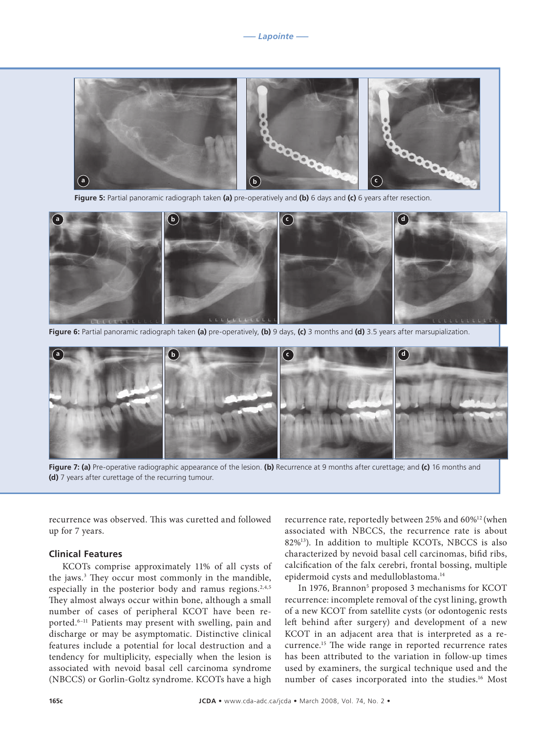

**Figure 5:** Partial panoramic radiograph taken **(a)** pre-operatively and **(b)** 6 days and **(c)** 6 years after resection.



**Figure 6:** Partial panoramic radiograph taken **(a)** pre-operatively, **(b)** 9 days, **(c)** 3 months and **(d)** 3.5 years after marsupialization.



**Figure 7: (a)** Pre-operative radiographic appearance of the lesion. **(b)** Recurrence at 9 months after curettage; and **(c)** 16 months and **(d)** 7 years after curettage of the recurring tumour.

recurrence was observed. This was curetted and followed up for 7 years.

#### **Clinical Features**

KCOTs comprise approximately 11% of all cysts of the jaws.3 They occur most commonly in the mandible, especially in the posterior body and ramus regions.<sup>2,4,5</sup> They almost always occur within bone, although a small number of cases of peripheral KCOT have been reported.6–11 Patients may present with swelling, pain and discharge or may be asymptomatic. Distinctive clinical features include a potential for local destruction and a tendency for multiplicity, especially when the lesion is associated with nevoid basal cell carcinoma syndrome (NBCCS) or Gorlin-Goltz syndrome. KCOTs have a high

recurrence rate, reportedly between 25% and 60%12 (when associated with NBCCS, the recurrence rate is about 82%13). In addition to multiple KCOTs, NBCCS is also characterized by nevoid basal cell carcinomas, bifid ribs, calcification of the falx cerebri, frontal bossing, multiple epidermoid cysts and medulloblastoma.14

In 1976, Brannon<sup>5</sup> proposed 3 mechanisms for KCOT recurrence: incomplete removal of the cyst lining, growth of a new KCOT from satellite cysts (or odontogenic rests left behind after surgery) and development of a new KCOT in an adjacent area that is interpreted as a recurrence.15 The wide range in reported recurrence rates has been attributed to the variation in follow-up times used by examiners, the surgical technique used and the number of cases incorporated into the studies.<sup>16</sup> Most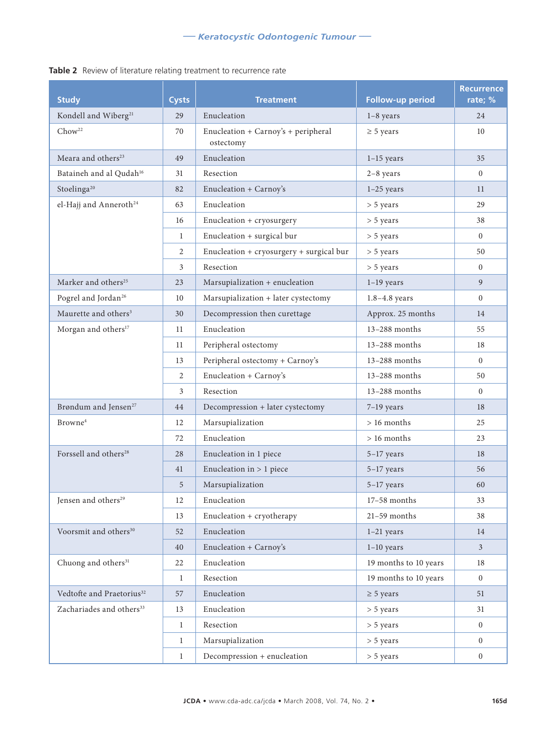## **Study Cysts Treatment Follow-up period Recurrence rate; %** Kondell and Wiberg<sup>21</sup> 29 Enucleation 1–8 years 24  $Chow<sup>22</sup>$  70 Enucleation + Carnoy's + peripheral ostectomy  $\geq$  5 years 10 Meara and others<sup>23</sup> 49 Enucleation 1–15 years 35 Bataineh and al Qudah<sup>16</sup> 31 Resection 2–8 years 0 Stoelinga<sup>20</sup> 82 Enucleation + Carnoy's 1–25 years 11 el-Hajj and Anneroth<sup>24</sup> 63 Enucleation  $>$  5 years 29 16 Enucleation + cryosurgery > 5 years 38 1 Enucleation + surgical bur > 5 years 0 2 Enucleation + cryosurgery + surgical bur  $>$  5 years 50  $3 \left| \text{Resection} \right| > 5 \text{ years}$  0 Marker and others<sup>25</sup> 23 Marsupialization + enucleation 1–19 years 9 Pogrel and Jordan<sup>26</sup> 10 Marsupialization + later cystectomy 1.8–4.8 years 0 Maurette and others<sup>3</sup> 30 Decompression then curettage Approx. 25 months 14 Morgan and others<sup>17</sup> 11 Enucleation 13–288 months 55 11 Peripheral ostectomy 13–288 months 18 13 Peripheral ostectomy + Carnoy's 13–288 months 0 2 Enucleation + Carnoy's 13–288 months 50 3 Resection 13–288 months 0 Brøndum and Jensen<sup>27</sup> 44 Decompression + later cystectomy 7–19 years 18 Browne<sup>4</sup> 12 Marsupialization > 16 months 25  $72$  Enucleation  $\qquad \qquad$  > 16 months 23 Forssell and others<sup>28</sup> 28 Enucleation in 1 piece 5–17 years 18 41 Enucleation in  $> 1$  piece 5–17 years 56 5 Marsupialization 5–17 years 60 Jensen and others<sup>29</sup> 12 Enucleation 17–58 months 33 13 Enucleation + cryotherapy 21-59 months 38 Voorsmit and others<sup>30</sup> 52 Enucleation 1–21 years 14 40 Enucleation + Carnoy's 1–10 years 3 Chuong and others<sup>31</sup> 22 Enucleation 19 months to 10 years 18 1 Resection 19 months to 10 years 0 Vedtofte and Praetorius<sup>32</sup> 57 Enucleation  $\geq 5$  years 51 Zachariades and others<sup>33</sup> 13 Enucleation > 5 years 31 1 Resection 2 > 5 years 0 1 Marsupialization 0 > 5 years 0

#### **Table 2** Review of literature relating treatment to recurrence rate

1 Decompression + enucleation > 5 years 0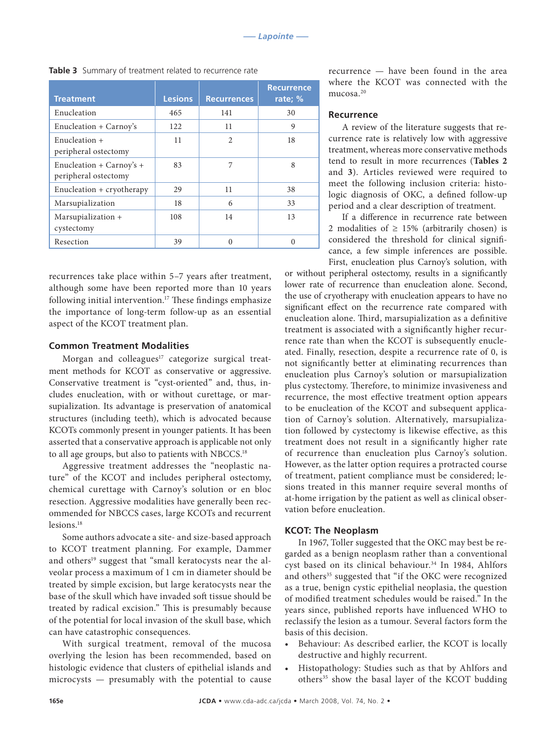| <b>Treatment</b>                                 | <b>Lesions</b> | <b>Recurrences</b> | <b>Recurrence</b><br>rate; % |
|--------------------------------------------------|----------------|--------------------|------------------------------|
| Enucleation                                      | 465            | 141                | 30                           |
| Enucleation + Carnoy's                           | 122            | 11                 | 9                            |
| Enucleation +<br>peripheral ostectomy            | 11             | $\mathfrak{D}$     | 18                           |
| Enucleation + Carnoy's +<br>peripheral ostectomy | 83             | 7                  | 8                            |
| Enucleation + cryotherapy                        | 29             | 11                 | 38                           |
| Marsupialization                                 | 18             | 6                  | 33                           |
| Marsupialization +<br>cystectomy                 | 108            | 14                 | 13                           |
| Resection                                        | 39             | 0                  | $\Omega$                     |

**Table 3** Summary of treatment related to recurrence rate

recurrences take place within 5–7 years after treatment, although some have been reported more than 10 years following initial intervention.<sup>17</sup> These findings emphasize the importance of long-term follow-up as an essential aspect of the KCOT treatment plan.

#### **Common Treatment Modalities**

Morgan and colleagues<sup>17</sup> categorize surgical treatment methods for KCOT as conservative or aggressive. Conservative treatment is "cyst-oriented" and, thus, includes enucleation, with or without curettage, or marsupialization. Its advantage is preservation of anatomical structures (including teeth), which is advocated because KCOTs commonly present in younger patients. It has been asserted that a conservative approach is applicable not only to all age groups, but also to patients with NBCCS.18

Aggressive treatment addresses the "neoplastic nature" of the KCOT and includes peripheral ostectomy, chemical curettage with Carnoy's solution or en bloc resection. Aggressive modalities have generally been recommended for NBCCS cases, large KCOTs and recurrent lesions.18

Some authors advocate a site- and size-based approach to KCOT treatment planning. For example, Dammer and others<sup>19</sup> suggest that "small keratocysts near the alveolar process a maximum of 1 cm in diameter should be treated by simple excision, but large keratocysts near the base of the skull which have invaded soft tissue should be treated by radical excision." This is presumably because of the potential for local invasion of the skull base, which can have catastrophic consequences.

With surgical treatment, removal of the mucosa overlying the lesion has been recommended, based on histologic evidence that clusters of epithelial islands and microcysts — presumably with the potential to cause recurrence — have been found in the area where the KCOT was connected with the mucosa.20

#### **Recurrence**

A review of the literature suggests that recurrence rate is relatively low with aggressive treatment, whereas more conservative methods tend to result in more recurrences (**Tables 2** and **3**). Articles reviewed were required to meet the following inclusion criteria: histologic diagnosis of OKC, a defined follow-up period and a clear description of treatment.

If a difference in recurrence rate between 2 modalities of  $\geq$  15% (arbitrarily chosen) is considered the threshold for clinical significance, a few simple inferences are possible. First, enucleation plus Carnoy's solution, with

or without peripheral ostectomy, results in a significantly lower rate of recurrence than enucleation alone. Second, the use of cryotherapy with enucleation appears to have no significant effect on the recurrence rate compared with enucleation alone. Third, marsupialization as a definitive treatment is associated with a significantly higher recurrence rate than when the KCOT is subsequently enucleated. Finally, resection, despite a recurrence rate of 0, is not significantly better at eliminating recurrences than enucleation plus Carnoy's solution or marsupialization plus cystectomy. Therefore, to minimize invasiveness and recurrence, the most effective treatment option appears to be enucleation of the KCOT and subsequent application of Carnoy's solution. Alternatively, marsupialization followed by cystectomy is likewise effective, as this treatment does not result in a significantly higher rate of recurrence than enucleation plus Carnoy's solution. However, as the latter option requires a protracted course of treatment, patient compliance must be considered; lesions treated in this manner require several months of at-home irrigation by the patient as well as clinical observation before enucleation.

#### **KCOT: The Neoplasm**

In 1967, Toller suggested that the OKC may best be regarded as a benign neoplasm rather than a conventional cyst based on its clinical behaviour.<sup>34</sup> In 1984, Ahlfors and others<sup>35</sup> suggested that "if the OKC were recognized as a true, benign cystic epithelial neoplasia, the question of modified treatment schedules would be raised." In the years since, published reports have influenced WHO to reclassify the lesion as a tumour. Several factors form the basis of this decision.

- Behaviour: As described earlier, the KCOT is locally destructive and highly recurrent.
- Histopathology: Studies such as that by Ahlfors and others<sup>35</sup> show the basal layer of the KCOT budding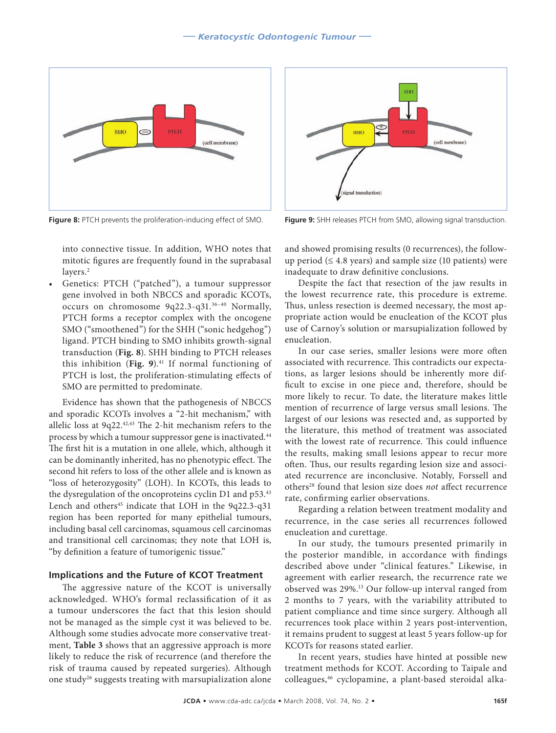

**Figure 8:** PTCH prevents the proliferation-inducing effect of SMO. **Figure 9:** SHH releases PTCH from SMO, allowing signal transduction.

into connective tissue. In addition, WHO notes that mitotic figures are frequently found in the suprabasal layers.<sup>2</sup>

Genetics: PTCH ("patched"), a tumour suppressor gene involved in both NBCCS and sporadic KCOTs, occurs on chromosome 9q22.3-q31.36–40 Normally, PTCH forms a receptor complex with the oncogene SMO ("smoothened") for the SHH ("sonic hedgehog") ligand. PTCH binding to SMO inhibits growth-signal transduction (**Fig. 8**). SHH binding to PTCH releases this inhibition (Fig. 9).<sup>41</sup> If normal functioning of PTCH is lost, the proliferation-stimulating effects of SMO are permitted to predominate.

Evidence has shown that the pathogenesis of NBCCS and sporadic KCOTs involves a "2-hit mechanism," with allelic loss at 9q22.42,43 The 2-hit mechanism refers to the process by which a tumour suppressor gene is inactivated.<sup>44</sup> The first hit is a mutation in one allele, which, although it can be dominantly inherited, has no phenotypic effect. The second hit refers to loss of the other allele and is known as "loss of heterozygosity" (LOH). In KCOTs, this leads to the dysregulation of the oncoproteins cyclin D1 and p53.43 Lench and others<sup>45</sup> indicate that LOH in the 9q22.3-q31 region has been reported for many epithelial tumours, including basal cell carcinomas, squamous cell carcinomas and transitional cell carcinomas; they note that LOH is, "by definition a feature of tumorigenic tissue."

#### **Implications and the Future of KCOT Treatment**

The aggressive nature of the KCOT is universally acknowledged. WHO's formal reclassification of it as a tumour underscores the fact that this lesion should not be managed as the simple cyst it was believed to be. Although some studies advocate more conservative treatment, **Table 3** shows that an aggressive approach is more likely to reduce the risk of recurrence (and therefore the risk of trauma caused by repeated surgeries). Although one study<sup>26</sup> suggests treating with marsupialization alone



and showed promising results (0 recurrences), the followup period  $( \leq 4.8 \text{ years})$  and sample size (10 patients) were inadequate to draw definitive conclusions.

Despite the fact that resection of the jaw results in the lowest recurrence rate, this procedure is extreme. Thus, unless resection is deemed necessary, the most appropriate action would be enucleation of the KCOT plus use of Carnoy's solution or marsupialization followed by enucleation.

In our case series, smaller lesions were more often associated with recurrence. This contradicts our expectations, as larger lesions should be inherently more difficult to excise in one piece and, therefore, should be more likely to recur. To date, the literature makes little mention of recurrence of large versus small lesions. The largest of our lesions was resected and, as supported by the literature, this method of treatment was associated with the lowest rate of recurrence. This could influence the results, making small lesions appear to recur more often. Thus, our results regarding lesion size and associated recurrence are inconclusive. Notably, Forssell and others28 found that lesion size does *not* affect recurrence rate, confirming earlier observations.

Regarding a relation between treatment modality and recurrence, in the case series all recurrences followed enucleation and curettage.

In our study, the tumours presented primarily in the posterior mandible, in accordance with findings described above under "clinical features." Likewise, in agreement with earlier research, the recurrence rate we observed was 29%.13 Our follow-up interval ranged from 2 months to 7 years, with the variability attributed to patient compliance and time since surgery. Although all recurrences took place within 2 years post-intervention, it remains prudent to suggest at least 5 years follow-up for KCOTs for reasons stated earlier.

In recent years, studies have hinted at possible new treatment methods for KCOT. According to Taipale and colleagues,46 cyclopamine, a plant-based steroidal alka-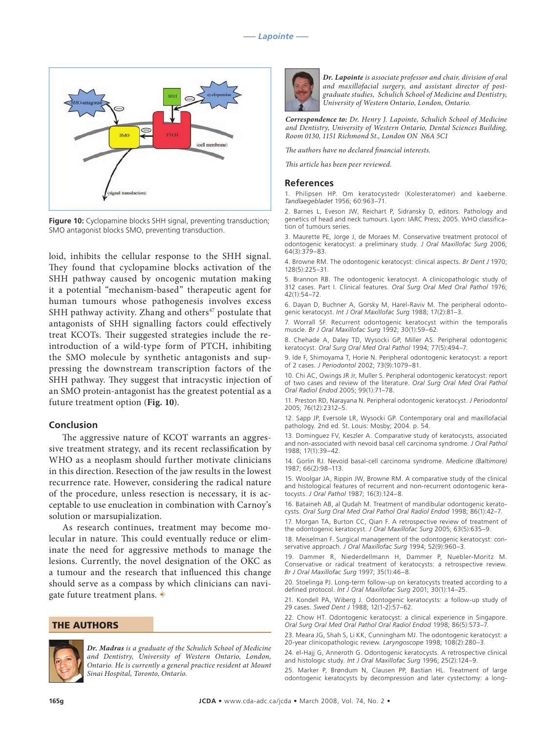

**Figure 10:** Cyclopamine blocks SHH signal, preventing transduction; SMO antagonist blocks SMO, preventing transduction.

loid, inhibits the cellular response to the SHH signal. They found that cyclopamine blocks activation of the SHH pathway caused by oncogenic mutation making it a potential "mechanism-based" therapeutic agent for human tumours whose pathogenesis involves excess SHH pathway activity. Zhang and others $47$  postulate that antagonists of SHH signalling factors could effectively treat KCOTs. Their suggested strategies include the reintroduction of a wild-type form of PTCH, inhibiting the SMO molecule by synthetic antagonists and suppressing the downstream transcription factors of the SHH pathway. They suggest that intracystic injection of an SMO protein-antagonist has the greatest potential as a future treatment option (**Fig. 10**).

#### **Conclusion**

The aggressive nature of KCOT warrants an aggressive treatment strategy, and its recent reclassification by WHO as a neoplasm should further motivate clinicians in this direction. Resection of the jaw results in the lowest recurrence rate. However, considering the radical nature of the procedure, unless resection is necessary, it is acceptable to use enucleation in combination with Carnoy's solution or marsupialization.

As research continues, treatment may become molecular in nature. This could eventually reduce or eliminate the need for aggressive methods to manage the lesions. Currently, the novel designation of the OKC as a tumour and the research that influenced this change should serve as a compass by which clinicians can navigate future treatment plans.  $\ast$ 

#### THE AUTHORS



*Dr. Madras is a graduate of the Schulich School of Medicine and Dentistry, University of Western Ontario, London, Ontario. He is currently a general practice resident at Mount Sinai Hospital, Toronto, Ontario.*



*Dr. Lapointe is associate professor and chair, division of oral and maxillofacial surgery, and assistant director of postgraduate studies, Schulich School of Medicine and Dentistry, University of Western Ontario, London, Ontario.*

*Correspondence to: Dr. Henry J. Lapointe, Schulich School of Medicine and Dentistry, University of Western Ontario, Dental Sciences Building, Room 0130, 1151 Richmond St., London ON N6A 5C1*

*The authors have no declared financial interests.*

*This article has been peer reviewed.*

#### **References**

1. Philipsen HP. Om keratocystedr (Kolesteratomer) and kaeberne. *Tandlaegebladet* 1956; 60:963–71.

2. Barnes L, Eveson JW, Reichart P, Sidransky D, editors. Pathology and genetics of head and neck tumours. Lyon: IARC Press; 2005. WHO classification of tumours series.

3. Maurette PE, Jorge J, de Moraes M. Conservative treatment protocol of odontogenic keratocyst: a preliminary study. *J Oral Maxillofac Surg* 2006; 64(3):379–83.

4. Browne RM. The odontogenic keratocyst: clinical aspects. *Br Dent J* 1970; 128(5):225–31.

5. Brannon RB. The odontogenic keratocyst. A clinicopathologic study of 312 cases. Part I. Clinical features. *Oral Surg Oral Med Oral Pathol* 1976; 42(1):54–72.

6. Dayan D, Buchner A, Gorsky M, Harel-Raviv M. The peripheral odontogenic keratocyst. *Int J Oral Maxillofac Surg* 1988; 17(2):81–3.

7. Worrall SF. Recurrent odontogenic keratocyst within the temporalis muscle. *Br J Oral Maxillofac Surg* 1992; 30(1):59–62.

8. Chehade A, Daley TD, Wysocki GP, Miller AS. Peripheral odontogenic keratocyst. *Oral Surg Oral Med Oral Pathol* 1994; 77(5):494–7.

9. Ide F, Shimoyama T, Horie N. Peripheral odontogenic keratocyst: a report of 2 cases. *J Periodontol* 2002; 73(9):1079–81.

10. Chi AC, Owings JR Jr, Muller S. Peripheral odontogenic keratocyst: report of two cases and review of the literature. *Oral Surg Oral Med Oral Pathol Oral Radiol Endod* 2005; 99(1):71–78.

11. Preston RD, Narayana N. Peripheral odontogenic keratocyst. *J Periodontol*  2005; 76(12):2312–5.

12. Sapp JP, Eversole LR, Wysocki GP. Contemporary oral and maxillofacial pathology. 2nd ed. St. Louis: Mosby; 2004. p. 54.

13. Dominguez FV, Keszler A. Comparative study of keratocysts, associated and non-associated with nevoid basal cell carcinoma syndrome. *J Oral Pathol*  1988; 17(1):39–42.

14. Gorlin RJ. Nevoid basal-cell carcinoma syndrome. *Medicine (Baltimore)*  1987; 66(2):98–113.

15. Woolgar JA, Rippin JW, Browne RM. A comparative study of the clinical and histological features of recurrent and non-recurrent odontogenic keratocysts. *J Oral Pathol* 1987; 16(3):124–8.

16. Bataineh AB, al Qudah M. Treatment of mandibular odontogenic keratocysts. *Oral Surg Oral Med Oral Pathol Oral Radiol Endod* 1998; 86(1):42–7.

17. Morgan TA, Burton CC, Qian F. A retrospective review of treatment of the odontogenic keratocyst. *J Oral Maxillofac Surg* 2005; 63(5):635–9.

18. Meiselman F. Surgical management of the odontogenic keratocyst: conservative approach. *J Oral Maxillofac Surg* 1994; 52(9):960–3.

19. Dammer R, Niederdellmann H, Dammer P, Nuebler-Moritz M. Conservative or radical treatment of keratocysts: a retrospective review. *Br J Oral Maxillofac Surg* 1997; 35(1):46–8.

20. Stoelinga PJ. Long-term follow-up on keratocysts treated according to a defined protocol. *Int J Oral Maxillofac Surg* 2001; 30(1):14–25.

21. Kondell PA, Wiberg J. Odontogenic keratocysts: a follow-up study of 29 cases. *Swed Dent J* 1988; 12(1-2):57–62.

22. Chow HT. Odontogenic keratocyst: a clinical experience in Singapore. *Oral Surg Oral Med Oral Pathol Oral Radiol Endod* 1998; 86(5):573–7.

23. Meara JG, Shah S, Li KK, Cunningham MJ. The odontogenic keratocyst: a 20-year clinicopathologic review*. Laryngoscope* 1998; 108(2):280–3.

24. el-Hajj G, Anneroth G. Odontogenic keratocysts. A retrospective clinical and histologic study. *Int J Oral Maxillofac Surg* 1996; 25(2):124–9.

25. Marker P, Brøndum N, Clausen PP, Bastian HL. Treatment of large odontogenic keratocysts by decompression and later cystectomy: a long